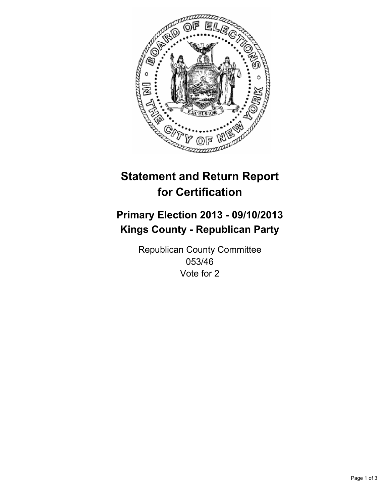

# **Statement and Return Report for Certification**

# **Primary Election 2013 - 09/10/2013 Kings County - Republican Party**

Republican County Committee 053/46 Vote for 2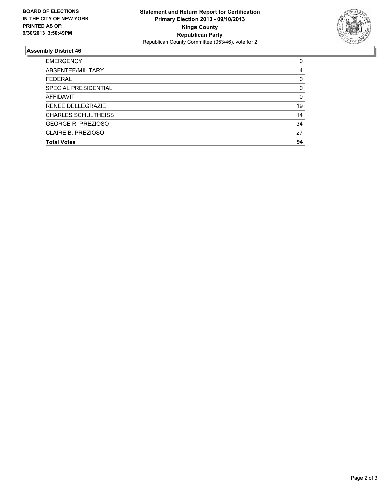

## **Assembly District 46**

| <b>EMERGENCY</b>           | 0        |
|----------------------------|----------|
| ABSENTEE/MILITARY          | 4        |
| <b>FEDERAL</b>             | 0        |
| SPECIAL PRESIDENTIAL       | 0        |
| <b>AFFIDAVIT</b>           | $\Omega$ |
| <b>RENEE DELLEGRAZIE</b>   | 19       |
| <b>CHARLES SCHULTHEISS</b> | 14       |
| <b>GEORGE R. PREZIOSO</b>  | 34       |
| CLAIRE B. PREZIOSO         | 27       |
| <b>Total Votes</b>         | 94       |